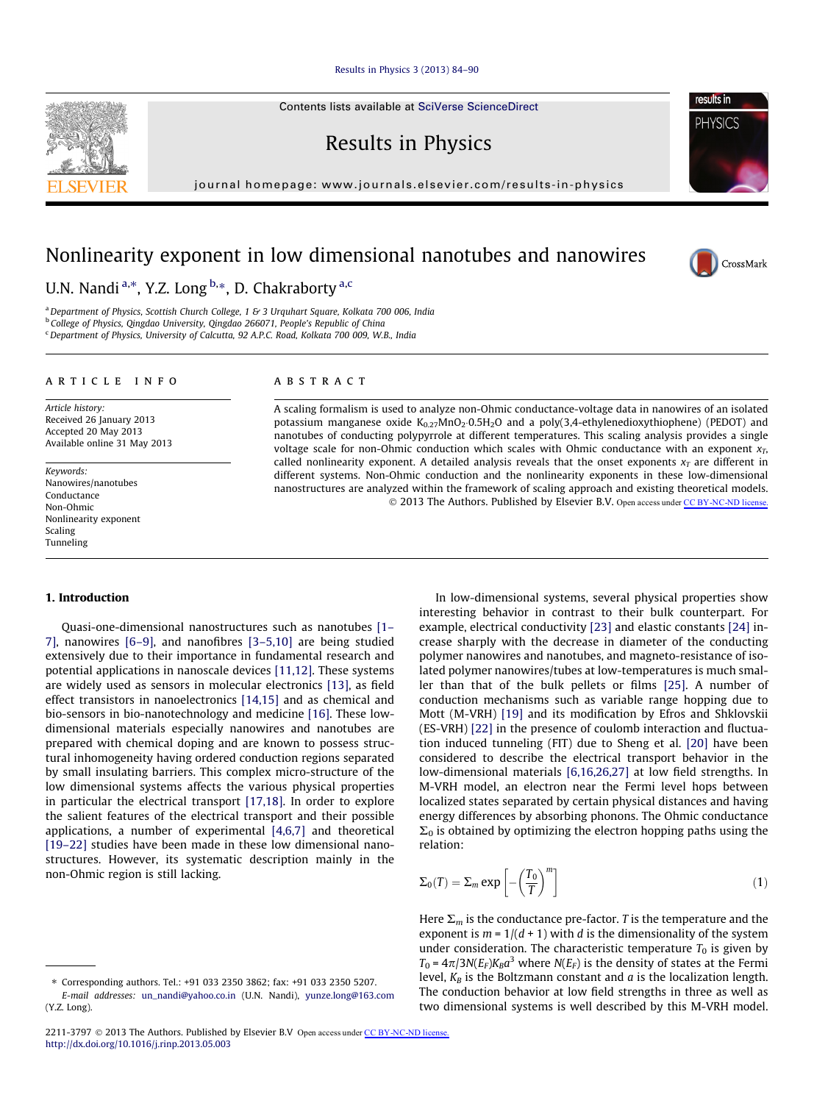## [Results in Physics 3 \(2013\) 84–90](http://dx.doi.org/10.1016/j.rinp.2013.05.003)

Contents lists available at [SciVerse ScienceDirect](http://www.sciencedirect.com/science/journal/22113797)

Results in Physics

journal homepage: [www.journals.elsevier.com/results-in-physics](http://www.journals.elsevier.com/results-in-physics)

# Nonlinearity exponent in low dimensional nanotubes and nanowires

U.N. Nandi <sup>a,\*</sup>, Y.Z. Long <sup>b,</sup>\*, D. Chakraborty <sup>a,c</sup>

<sup>a</sup> Department of Physics, Scottish Church College, 1 & 3 Urquhart Square, Kolkata 700 006, India <sup>b</sup> College of Physics, Qingdao University, Qingdao 266071, People's Republic of China <sup>c</sup> Department of Physics, University of Calcutta, 92 A.P.C. Road, Kolkata 700 009, W.B., India

#### article info

Article history: Received 26 January 2013 Accepted 20 May 2013 Available online 31 May 2013

Keywords: Nanowires/nanotubes Conductance Non-Ohmic Nonlinearity exponent Scaling Tunneling

## ABSTRACT

A scaling formalism is used to analyze non-Ohmic conductance-voltage data in nanowires of an isolated potassium manganese oxide  $K_{0.27}MnO_2 \cdot 0.5H_2O$  and a poly(3,4-ethylenedioxythiophene) (PEDOT) and nanotubes of conducting polypyrrole at different temperatures. This scaling analysis provides a single voltage scale for non-Ohmic conduction which scales with Ohmic conductance with an exponent  $x_T$ , called nonlinearity exponent. A detailed analysis reveals that the onset exponents  $x_T$  are different in different systems. Non-Ohmic conduction and the nonlinearity exponents in these low-dimensional nanostructures are analyzed within the framework of scaling approach and existing theoretical models. © 2013 The Authors. Published by Elsevier B.V. Open access under [CC BY-NC-ND license.](http://creativecommons.org/licenses/by-nc-nd/3.0/)

#### 1. Introduction

Quasi-one-dimensional nanostructures such as nanotubes [\[1–](#page-6-0) [7\]](#page-6-0), nanowires [\[6–9\]](#page-6-0), and nanofibres [\[3–5,10\]](#page-6-0) are being studied extensively due to their importance in fundamental research and potential applications in nanoscale devices [\[11,12\].](#page-6-0) These systems are widely used as sensors in molecular electronics [\[13\],](#page-6-0) as field effect transistors in nanoelectronics [\[14,15\]](#page-6-0) and as chemical and bio-sensors in bio-nanotechnology and medicine [\[16\]](#page-6-0). These lowdimensional materials especially nanowires and nanotubes are prepared with chemical doping and are known to possess structural inhomogeneity having ordered conduction regions separated by small insulating barriers. This complex micro-structure of the low dimensional systems affects the various physical properties in particular the electrical transport [\[17,18\].](#page-6-0) In order to explore the salient features of the electrical transport and their possible applications, a number of experimental [\[4,6,7\]](#page-6-0) and theoretical [\[19–22\]](#page-6-0) studies have been made in these low dimensional nanostructures. However, its systematic description mainly in the non-Ohmic region is still lacking.

In low-dimensional systems, several physical properties show interesting behavior in contrast to their bulk counterpart. For example, electrical conductivity [\[23\]](#page-6-0) and elastic constants [\[24\]](#page-6-0) increase sharply with the decrease in diameter of the conducting polymer nanowires and nanotubes, and magneto-resistance of isolated polymer nanowires/tubes at low-temperatures is much smaller than that of the bulk pellets or films [\[25\]](#page-6-0). A number of conduction mechanisms such as variable range hopping due to Mott (M-VRH) [\[19\]](#page-6-0) and its modification by Efros and Shklovskii (ES-VRH) [\[22\]](#page-6-0) in the presence of coulomb interaction and fluctuation induced tunneling (FIT) due to Sheng et al. [\[20\]](#page-6-0) have been considered to describe the electrical transport behavior in the low-dimensional materials [\[6,16,26,27\]](#page-6-0) at low field strengths. In M-VRH model, an electron near the Fermi level hops between localized states separated by certain physical distances and having energy differences by absorbing phonons. The Ohmic conductance  $\Sigma_0$  is obtained by optimizing the electron hopping paths using the relation:

$$
\Sigma_0(T) = \Sigma_m \exp\left[-\left(\frac{T_0}{T}\right)^m\right]
$$
\n(1)

Here  $\Sigma_m$  is the conductance pre-factor. T is the temperature and the exponent is  $m = 1/(d + 1)$  with d is the dimensionality of the system under consideration. The characteristic temperature  $T_0$  is given by  $T_0 = 4\pi/3N(E_F)K_Ba^3$  where  $N(E_F)$  is the density of states at the Fermi level,  $K_B$  is the Boltzmann constant and  $a$  is the localization length. The conduction behavior at low field strengths in three as well as two dimensional systems is well described by this M-VRH model.

<span id="page-0-0"></span>





<sup>⇑</sup> Corresponding authors. Tel.: +91 033 2350 3862; fax: +91 033 2350 5207.

E-mail addresses: [un\\_nandi@yahoo.co.in](mailto:un_nandi@yahoo.co.in) (U.N. Nandi), [yunze.long@163.com](mailto:yunze.long@163.com) (Y.Z. Long).

<sup>2211-3797 © 2013</sup> The Authors. Published by Elsevier B.V Open access under [CC BY-NC-ND license.](http://creativecommons.org/licenses/by-nc-nd/3.0/) <http://dx.doi.org/10.1016/j.rinp.2013.05.003>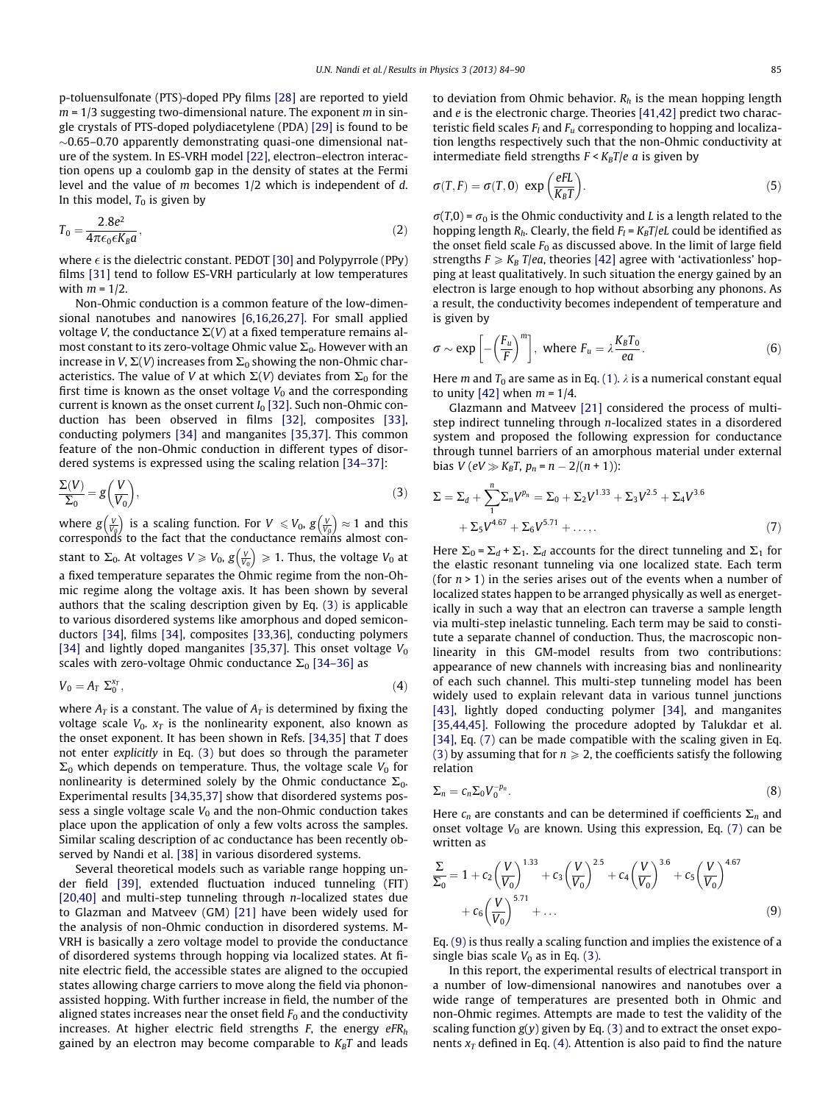<span id="page-1-0"></span>p-toluensulfonate (PTS)-doped PPy films [\[28\]](#page-6-0) are reported to yield  $m = 1/3$  suggesting two-dimensional nature. The exponent m in single crystals of PTS-doped polydiacetylene (PDA) [\[29\]](#page-6-0) is found to be  $\sim$ 0.65–0.70 apparently demonstrating quasi-one dimensional nature of the system. In ES-VRH model [\[22\],](#page-6-0) electron–electron interaction opens up a coulomb gap in the density of states at the Fermi level and the value of m becomes 1/2 which is independent of d. In this model,  $T_0$  is given by

$$
T_0 = \frac{2.8e^2}{4\pi\epsilon_0 \epsilon K_B a},\tag{2}
$$

where  $\epsilon$  is the dielectric constant. PEDOT [\[30\]](#page-6-0) and Polypyrrole (PPy) films [\[31\]](#page-6-0) tend to follow ES-VRH particularly at low temperatures with  $m = 1/2$ .

Non-Ohmic conduction is a common feature of the low-dimensional nanotubes and nanowires [\[6,16,26,27\].](#page-6-0) For small applied voltage V, the conductance  $\Sigma(V)$  at a fixed temperature remains almost constant to its zero-voltage Ohmic value  $\Sigma_0$ . However with an increase in V,  $\Sigma(V)$  increases from  $\Sigma_0$  showing the non-Ohmic characteristics. The value of V at which  $\Sigma(V)$  deviates from  $\Sigma_0$  for the first time is known as the onset voltage  $V_0$  and the corresponding current is known as the onset current  $I_0$  [\[32\]](#page-6-0). Such non-Ohmic conduction has been observed in films [\[32\]](#page-6-0), composites [\[33\],](#page-6-0) conducting polymers [\[34\]](#page-6-0) and manganites [\[35,37\]](#page-6-0). This common feature of the non-Ohmic conduction in different types of disordered systems is expressed using the scaling relation [\[34–37\]](#page-6-0):

$$
\frac{\Sigma(V)}{\Sigma_0} = g\left(\frac{V}{V_0}\right),\tag{3}
$$

where  $g\left(\frac{V}{V_0}\right)$  is a scaling function. For  $V \leq V_0$ ,  $g\left(\frac{V}{V_0}\right) \approx 1$  and this correspondś to the fact that the conductance remains almost constant to  $\Sigma_0$ . At voltages  $V \geq V_0$ ,  $g\left(\frac{V}{V_0}\right) \geq 1$ . Thus, the voltage  $V_0$  at a fixed temperature separates the Ohmic regime from the non-Ohmic regime along the voltage axis. It has been shown by several authors that the scaling description given by Eq. (3) is applicable to various disordered systems like amorphous and doped semiconductors [\[34\]](#page-6-0), films [\[34\],](#page-6-0) composites [\[33,36\],](#page-6-0) conducting polymers [\[34\]](#page-6-0) and lightly doped manganites [\[35,37\]](#page-6-0). This onset voltage  $V_0$ scales with zero-voltage Ohmic conductance  $\Sigma_0$  [\[34–36\]](#page-6-0) as

$$
V_0 = A_T \ \Sigma_0^{x_T}, \tag{4}
$$

where  $A_T$  is a constant. The value of  $A_T$  is determined by fixing the voltage scale  $V_0$ .  $x_T$  is the nonlinearity exponent, also known as the onset exponent. It has been shown in Refs. [\[34,35\]](#page-6-0) that T does not enter explicitly in Eq. (3) but does so through the parameter  $\Sigma_0$  which depends on temperature. Thus, the voltage scale  $V_0$  for nonlinearity is determined solely by the Ohmic conductance  $\Sigma_0$ . Experimental results [\[34,35,37\]](#page-6-0) show that disordered systems possess a single voltage scale  $V_0$  and the non-Ohmic conduction takes place upon the application of only a few volts across the samples. Similar scaling description of ac conductance has been recently observed by Nandi et al. [\[38\]](#page-6-0) in various disordered systems.

Several theoretical models such as variable range hopping under field [\[39\],](#page-6-0) extended fluctuation induced tunneling (FIT) [\[20,40\]](#page-6-0) and multi-step tunneling through n-localized states due to Glazman and Matveev (GM) [\[21\]](#page-6-0) have been widely used for the analysis of non-Ohmic conduction in disordered systems. M-VRH is basically a zero voltage model to provide the conductance of disordered systems through hopping via localized states. At finite electric field, the accessible states are aligned to the occupied states allowing charge carriers to move along the field via phononassisted hopping. With further increase in field, the number of the aligned states increases near the onset field  $F_0$  and the conductivity increases. At higher electric field strengths  $F$ , the energy  $eFR<sub>h</sub>$ gained by an electron may become comparable to  $K_B T$  and leads to deviation from Ohmic behavior.  $R_h$  is the mean hopping length and e is the electronic charge. Theories [\[41,42\]](#page-6-0) predict two characteristic field scales  $F_l$  and  $F_u$  corresponding to hopping and localization lengths respectively such that the non-Ohmic conductivity at intermediate field strengths  $F \lt K_B T/e$  a is given by

$$
\sigma(T, F) = \sigma(T, 0) \exp\left(\frac{eFL}{K_B T}\right).
$$
\n(5)

 $\sigma(T,0) = \sigma_0$  is the Ohmic conductivity and L is a length related to the hopping length  $R_h$ . Clearly, the field  $F_l = K_B T / eL$  could be identified as the onset field scale  $F_0$  as discussed above. In the limit of large field strengths  $F \geq K_B T/ea$ , theories [\[42\]](#page-6-0) agree with 'activationless' hopping at least qualitatively. In such situation the energy gained by an electron is large enough to hop without absorbing any phonons. As a result, the conductivity becomes independent of temperature and is given by

$$
\sigma \sim \exp\left[-\left(\frac{F_u}{F}\right)^m\right], \text{ where } F_u = \lambda \frac{K_B T_0}{ea}.
$$
 (6)

Here *m* and  $T_0$  are same as in Eq. [\(1\)](#page-0-0).  $\lambda$  is a numerical constant equal to unity [\[42\]](#page-6-0) when  $m = 1/4$ .

Glazmann and Matveev [\[21\]](#page-6-0) considered the process of multistep indirect tunneling through n-localized states in a disordered system and proposed the following expression for conductance through tunnel barriers of an amorphous material under external bias  $V (eV \gg K_B T, p_n = n - 2/(n + 1))$ :

$$
\Sigma = \Sigma_d + \sum_{1}^{n} \Sigma_n V^{p_n} = \Sigma_0 + \Sigma_2 V^{1.33} + \Sigma_3 V^{2.5} + \Sigma_4 V^{3.6} + \Sigma_5 V^{4.67} + \Sigma_6 V^{5.71} + \dots,
$$
\n(7)

Here  $\Sigma_0 = \Sigma_d + \Sigma_1$ .  $\Sigma_d$  accounts for the direct tunneling and  $\Sigma_1$  for the elastic resonant tunneling via one localized state. Each term (for  $n > 1$ ) in the series arises out of the events when a number of localized states happen to be arranged physically as well as energetically in such a way that an electron can traverse a sample length via multi-step inelastic tunneling. Each term may be said to constitute a separate channel of conduction. Thus, the macroscopic nonlinearity in this GM-model results from two contributions: appearance of new channels with increasing bias and nonlinearity of each such channel. This multi-step tunneling model has been widely used to explain relevant data in various tunnel junctions [\[43\],](#page-6-0) lightly doped conducting polymer [\[34\]](#page-6-0), and manganites [\[35,44,45\]](#page-6-0). Following the procedure adopted by Talukdar et al. [\[34\],](#page-6-0) Eq. (7) can be made compatible with the scaling given in Eq. (3) by assuming that for  $n \geq 2$ , the coefficients satisfy the following relation

$$
\Sigma_n = c_n \Sigma_0 V_0^{-p_n}.\tag{8}
$$

Here  $c_n$  are constants and can be determined if coefficients  $\Sigma_n$  and onset voltage  $V_0$  are known. Using this expression, Eq. (7) can be written as

$$
\frac{\Sigma}{\Sigma_0} = 1 + c_2 \left(\frac{V}{V_0}\right)^{1.33} + c_3 \left(\frac{V}{V_0}\right)^{2.5} + c_4 \left(\frac{V}{V_0}\right)^{3.6} + c_5 \left(\frac{V}{V_0}\right)^{4.67} + c_6 \left(\frac{V}{V_0}\right)^{5.71} + \dots
$$
\n(9)

Eq. (9) is thus really a scaling function and implies the existence of a single bias scale  $V_0$  as in Eq. (3).

In this report, the experimental results of electrical transport in a number of low-dimensional nanowires and nanotubes over a wide range of temperatures are presented both in Ohmic and non-Ohmic regimes. Attempts are made to test the validity of the scaling function  $g(y)$  given by Eq. (3) and to extract the onset exponents  $x_T$  defined in Eq. (4). Attention is also paid to find the nature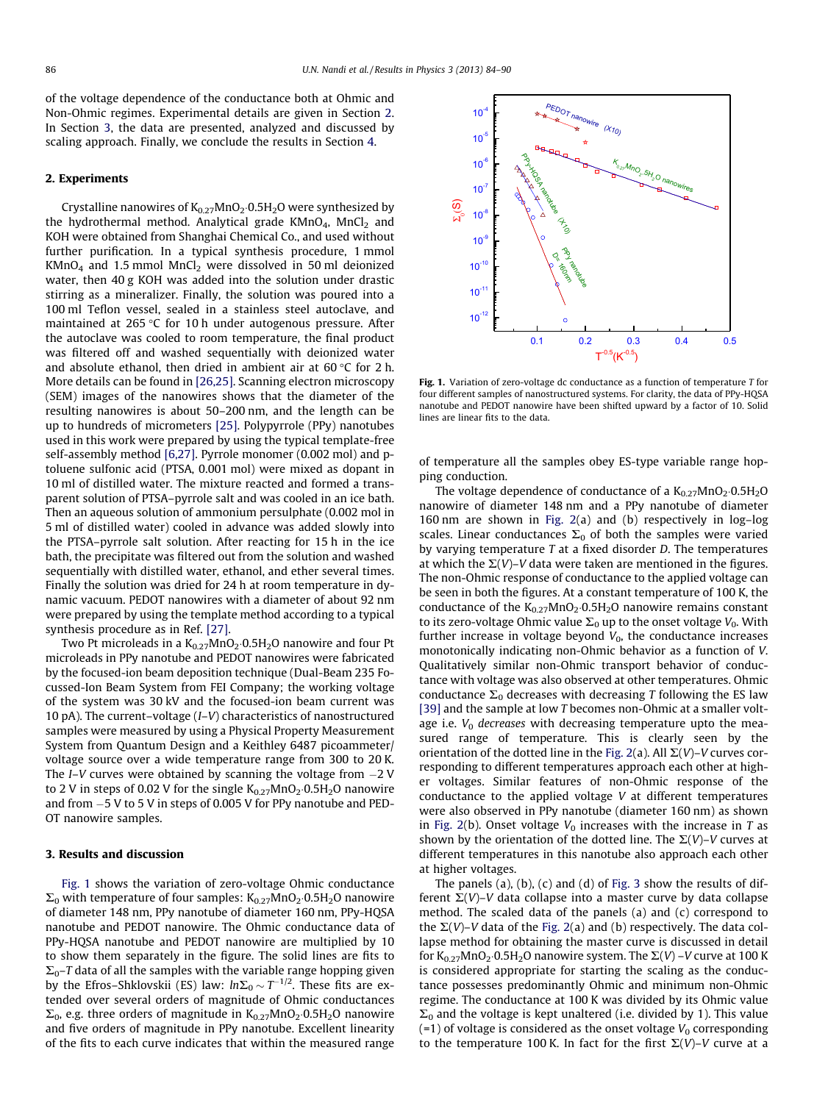<span id="page-2-0"></span>of the voltage dependence of the conductance both at Ohmic and Non-Ohmic regimes. Experimental details are given in Section 2. In Section 3, the data are presented, analyzed and discussed by scaling approach. Finally, we conclude the results in Section [4](#page-5-0).

#### 2. Experiments

Crystalline nanowires of  $\rm K_{0.27}MnO_2 \cdot 0.5H_2O$  were synthesized by the hydrothermal method. Analytical grade  $KMD<sub>4</sub>$ , MnCl<sub>2</sub> and KOH were obtained from Shanghai Chemical Co., and used without further purification. In a typical synthesis procedure, 1 mmol  $KMnO<sub>4</sub>$  and 1.5 mmol  $MnCl<sub>2</sub>$  were dissolved in 50 ml deionized water, then 40 g KOH was added into the solution under drastic stirring as a mineralizer. Finally, the solution was poured into a 100 ml Teflon vessel, sealed in a stainless steel autoclave, and maintained at 265 $\degree$ C for 10 h under autogenous pressure. After the autoclave was cooled to room temperature, the final product was filtered off and washed sequentially with deionized water and absolute ethanol, then dried in ambient air at  $60^{\circ}$ C for 2 h. More details can be found in [\[26,25\].](#page-6-0) Scanning electron microscopy (SEM) images of the nanowires shows that the diameter of the resulting nanowires is about 50–200 nm, and the length can be up to hundreds of micrometers [\[25\].](#page-6-0) Polypyrrole (PPy) nanotubes used in this work were prepared by using the typical template-free self-assembly method [\[6,27\]](#page-6-0). Pyrrole monomer (0.002 mol) and ptoluene sulfonic acid (PTSA, 0.001 mol) were mixed as dopant in 10 ml of distilled water. The mixture reacted and formed a transparent solution of PTSA–pyrrole salt and was cooled in an ice bath. Then an aqueous solution of ammonium persulphate (0.002 mol in 5 ml of distilled water) cooled in advance was added slowly into the PTSA–pyrrole salt solution. After reacting for 15 h in the ice bath, the precipitate was filtered out from the solution and washed sequentially with distilled water, ethanol, and ether several times. Finally the solution was dried for 24 h at room temperature in dynamic vacuum. PEDOT nanowires with a diameter of about 92 nm were prepared by using the template method according to a typical synthesis procedure as in Ref. [\[27\]](#page-6-0).

Two Pt microleads in a  $\rm K_{0.27}MnO_2{\cdot}0.5H_2O$  nanowire and four Pt microleads in PPy nanotube and PEDOT nanowires were fabricated by the focused-ion beam deposition technique (Dual-Beam 235 Focussed-Ion Beam System from FEI Company; the working voltage of the system was 30 kV and the focused-ion beam current was 10 pA). The current–voltage (I–V) characteristics of nanostructured samples were measured by using a Physical Property Measurement System from Quantum Design and a Keithley 6487 picoammeter/ voltage source over a wide temperature range from 300 to 20 K. The *I–V* curves were obtained by scanning the voltage from  $-2$  V to 2 V in steps of 0.02 V for the single  $\rm K_{0.27}$ MnO $_2$ ·0.5H $_2$ O nanowire and from  $-5$  V to 5 V in steps of 0.005 V for PPy nanotube and PED-OT nanowire samples.

# 3. Results and discussion

Fig. 1 shows the variation of zero-voltage Ohmic conductance  $\Sigma_0$  with temperature of four samples:  $\mathrm{K}_{0.27}\mathrm{MnO}_2$ ·0.5H<sub>2</sub>O nanowire of diameter 148 nm, PPy nanotube of diameter 160 nm, PPy-HQSA nanotube and PEDOT nanowire. The Ohmic conductance data of PPy-HQSA nanotube and PEDOT nanowire are multiplied by 10 to show them separately in the figure. The solid lines are fits to  $\Sigma_0$ –T data of all the samples with the variable range hopping given by the Efros–Shklovskii (ES) law:  $ln \Sigma_0 \sim T^{-1/2}$ . These fits are extended over several orders of magnitude of Ohmic conductances  $\Sigma_0$ , e.g. three orders of magnitude in  $K_{0.27}$ MnO<sub>2</sub> $\cdot$ 0.5H<sub>2</sub>O nanowire and five orders of magnitude in PPy nanotube. Excellent linearity of the fits to each curve indicates that within the measured range



Fig. 1. Variation of zero-voltage dc conductance as a function of temperature T for four different samples of nanostructured systems. For clarity, the data of PPy-HQSA nanotube and PEDOT nanowire have been shifted upward by a factor of 10. Solid lines are linear fits to the data.

of temperature all the samples obey ES-type variable range hopping conduction.

The voltage dependence of conductance of a  $\rm K_{0.27}MnO_2 \cdot 0.5H_2O$ nanowire of diameter 148 nm and a PPy nanotube of diameter 160 nm are shown in [Fig. 2\(](#page-3-0)a) and (b) respectively in log–log scales. Linear conductances  $\Sigma_0$  of both the samples were varied by varying temperature  $T$  at a fixed disorder  $D$ . The temperatures at which the  $\Sigma(V)$ –V data were taken are mentioned in the figures. The non-Ohmic response of conductance to the applied voltage can be seen in both the figures. At a constant temperature of 100 K, the conductance of the  $K_{0.27}MnO_2 \cdot 0.5H_2O$  nanowire remains constant to its zero-voltage Ohmic value  $\Sigma_0$  up to the onset voltage  $V_0$ . With further increase in voltage beyond  $V_0$ , the conductance increases monotonically indicating non-Ohmic behavior as a function of V. Qualitatively similar non-Ohmic transport behavior of conductance with voltage was also observed at other temperatures. Ohmic conductance  $\Sigma_0$  decreases with decreasing T following the ES law [\[39\]](#page-6-0) and the sample at low T becomes non-Ohmic at a smaller voltage i.e.  $V_0$  decreases with decreasing temperature upto the measured range of temperature. This is clearly seen by the orientation of the dotted line in the [Fig. 2](#page-3-0)(a). All  $\Sigma(V)$ –V curves corresponding to different temperatures approach each other at higher voltages. Similar features of non-Ohmic response of the conductance to the applied voltage V at different temperatures were also observed in PPy nanotube (diameter 160 nm) as shown in [Fig. 2\(](#page-3-0)b). Onset voltage  $V_0$  increases with the increase in T as shown by the orientation of the dotted line. The  $\Sigma(V)$ –V curves at different temperatures in this nanotube also approach each other at higher voltages.

The panels (a), (b), (c) and (d) of [Fig. 3](#page-4-0) show the results of different  $\Sigma(V)$ –V data collapse into a master curve by data collapse method. The scaled data of the panels (a) and (c) correspond to the  $\Sigma(V)$ –V data of the [Fig. 2](#page-3-0)(a) and (b) respectively. The data collapse method for obtaining the master curve is discussed in detail for  $K_{0.27}MnO_2 \cdot 0.5H_2O$  nanowire system. The  $\Sigma(V)$  –V curve at 100 K is considered appropriate for starting the scaling as the conductance possesses predominantly Ohmic and minimum non-Ohmic regime. The conductance at 100 K was divided by its Ohmic value  $\Sigma_0$  and the voltage is kept unaltered (i.e. divided by 1). This value  $(-1)$  of voltage is considered as the onset voltage  $V_0$  corresponding to the temperature 100 K. In fact for the first  $\Sigma(V)$ –V curve at a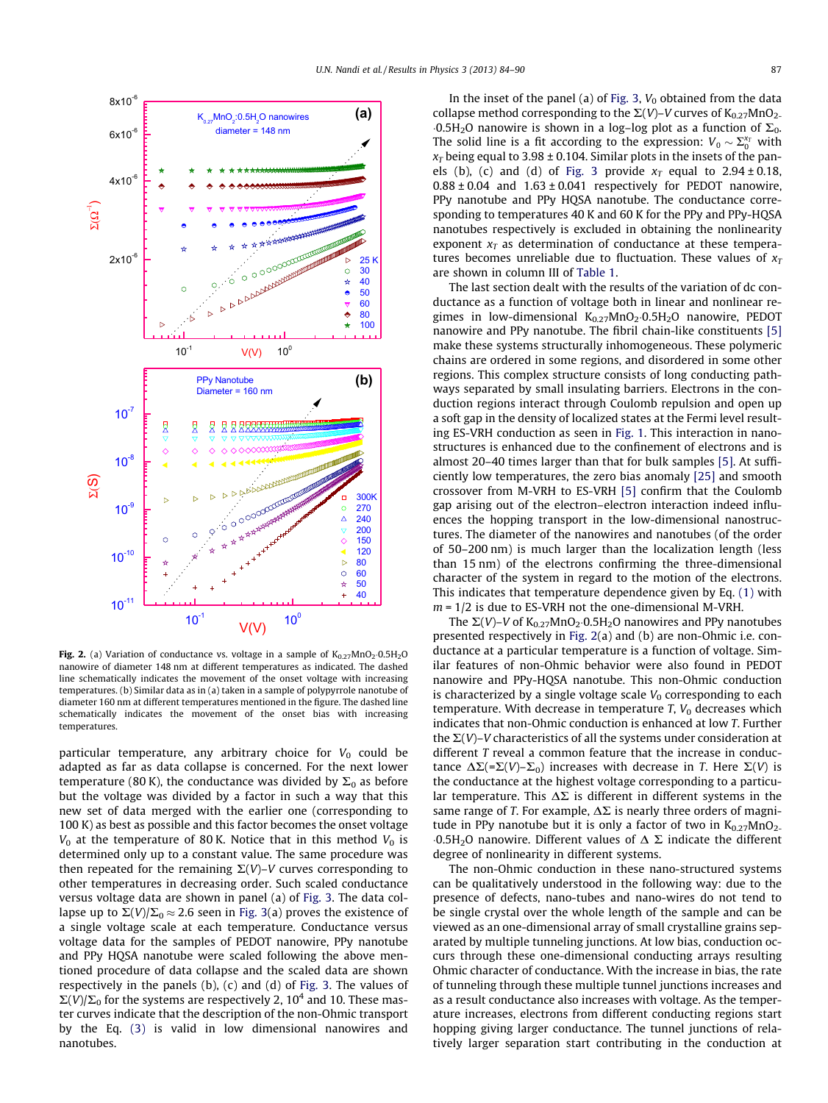<span id="page-3-0"></span>

**Fig. 2.** (a) Variation of conductance vs. voltage in a sample of  $\text{K}_{0.27}\text{MnO}_2 \cdot 0.5\text{H}_2\text{O}$ nanowire of diameter 148 nm at different temperatures as indicated. The dashed line schematically indicates the movement of the onset voltage with increasing temperatures. (b) Similar data as in (a) taken in a sample of polypyrrole nanotube of diameter 160 nm at different temperatures mentioned in the figure. The dashed line schematically indicates the movement of the onset bias with increasing temperatures.

particular temperature, any arbitrary choice for  $V_0$  could be adapted as far as data collapse is concerned. For the next lower temperature (80 K), the conductance was divided by  $\Sigma_0$  as before but the voltage was divided by a factor in such a way that this new set of data merged with the earlier one (corresponding to 100 K) as best as possible and this factor becomes the onset voltage  $V_0$  at the temperature of 80 K. Notice that in this method  $V_0$  is determined only up to a constant value. The same procedure was then repeated for the remaining  $\Sigma(V)$ –V curves corresponding to other temperatures in decreasing order. Such scaled conductance versus voltage data are shown in panel (a) of [Fig. 3.](#page-4-0) The data collapse up to  $\Sigma(V)/\Sigma_0 \approx 2.6$  seen in [Fig. 3\(](#page-4-0)a) proves the existence of a single voltage scale at each temperature. Conductance versus voltage data for the samples of PEDOT nanowire, PPy nanotube and PPy HQSA nanotube were scaled following the above mentioned procedure of data collapse and the scaled data are shown respectively in the panels (b), (c) and (d) of [Fig. 3.](#page-4-0) The values of  $\Sigma(V)/\Sigma_0$  for the systems are respectively 2, 10<sup>4</sup> and 10. These master curves indicate that the description of the non-Ohmic transport by the Eq. [\(3\)](#page-1-0) is valid in low dimensional nanowires and nanotubes.

In the inset of the panel (a) of [Fig. 3,](#page-4-0)  $V_0$  obtained from the data collapse method corresponding to the  $\Sigma(V)$ –V curves of K<sub>0.27</sub>MnO<sub>2-</sub>  $-0.5H<sub>2</sub>O$  nanowire is shown in a log-log plot as a function of  $\Sigma<sub>0</sub>$ . The solid line is a fit according to the expression:  $V_0 \sim \Sigma_0^{x_T}$  with  $x_T$  being equal to 3.98 ± 0.104. Similar plots in the insets of the pan-els (b), (c) and (d) of [Fig. 3](#page-4-0) provide  $x_T$  equal to 2.94 ± 0.18,  $0.88 \pm 0.04$  and  $1.63 \pm 0.041$  respectively for PEDOT nanowire, PPy nanotube and PPy HQSA nanotube. The conductance corresponding to temperatures 40 K and 60 K for the PPy and PPy-HQSA nanotubes respectively is excluded in obtaining the nonlinearity exponent  $x_T$  as determination of conductance at these temperatures becomes unreliable due to fluctuation. These values of  $x_1$ are shown in column III of [Table 1.](#page-5-0)

The last section dealt with the results of the variation of dc conductance as a function of voltage both in linear and nonlinear regimes in low-dimensional  $K_{0.27}$ MnO $_2$ ·0.5H $_2$ O nanowire, PEDOT nanowire and PPy nanotube. The fibril chain-like constituents [\[5\]](#page-6-0) make these systems structurally inhomogeneous. These polymeric chains are ordered in some regions, and disordered in some other regions. This complex structure consists of long conducting pathways separated by small insulating barriers. Electrons in the conduction regions interact through Coulomb repulsion and open up a soft gap in the density of localized states at the Fermi level resulting ES-VRH conduction as seen in [Fig. 1](#page-2-0). This interaction in nanostructures is enhanced due to the confinement of electrons and is almost 20–40 times larger than that for bulk samples [\[5\]](#page-6-0). At sufficiently low temperatures, the zero bias anomaly [\[25\]](#page-6-0) and smooth crossover from M-VRH to ES-VRH [\[5\]](#page-6-0) confirm that the Coulomb gap arising out of the electron–electron interaction indeed influences the hopping transport in the low-dimensional nanostructures. The diameter of the nanowires and nanotubes (of the order of 50–200 nm) is much larger than the localization length (less than 15 nm) of the electrons confirming the three-dimensional character of the system in regard to the motion of the electrons. This indicates that temperature dependence given by Eq. [\(1\)](#page-0-0) with  $m = 1/2$  is due to ES-VRH not the one-dimensional M-VRH.

The  $\Sigma(V)$ –V of  $\mathrm{K_{0.27}MnO_2\cdot 0.5H_2O}$  nanowires and PPy nanotubes presented respectively in Fig. 2(a) and (b) are non-Ohmic i.e. conductance at a particular temperature is a function of voltage. Similar features of non-Ohmic behavior were also found in PEDOT nanowire and PPy-HQSA nanotube. This non-Ohmic conduction is characterized by a single voltage scale  $V_0$  corresponding to each temperature. With decrease in temperature  $T$ ,  $V_0$  decreases which indicates that non-Ohmic conduction is enhanced at low T. Further the  $\Sigma(V)$ –V characteristics of all the systems under consideration at different T reveal a common feature that the increase in conductance  $\Delta\Sigma$ (= $\Sigma$ (V)– $\Sigma$ <sub>0</sub>) increases with decrease in T. Here  $\Sigma$ (V) is the conductance at the highest voltage corresponding to a particular temperature. This  $\Delta\Sigma$  is different in different systems in the same range of T. For example,  $\Delta \Sigma$  is nearly three orders of magnitude in PPy nanotube but it is only a factor of two in  $K_{0.27}MnO_2$ .  $-0.5H<sub>2</sub>O$  nanowire. Different values of  $\Delta \Sigma$  indicate the different degree of nonlinearity in different systems.

The non-Ohmic conduction in these nano-structured systems can be qualitatively understood in the following way: due to the presence of defects, nano-tubes and nano-wires do not tend to be single crystal over the whole length of the sample and can be viewed as an one-dimensional array of small crystalline grains separated by multiple tunneling junctions. At low bias, conduction occurs through these one-dimensional conducting arrays resulting Ohmic character of conductance. With the increase in bias, the rate of tunneling through these multiple tunnel junctions increases and as a result conductance also increases with voltage. As the temperature increases, electrons from different conducting regions start hopping giving larger conductance. The tunnel junctions of relatively larger separation start contributing in the conduction at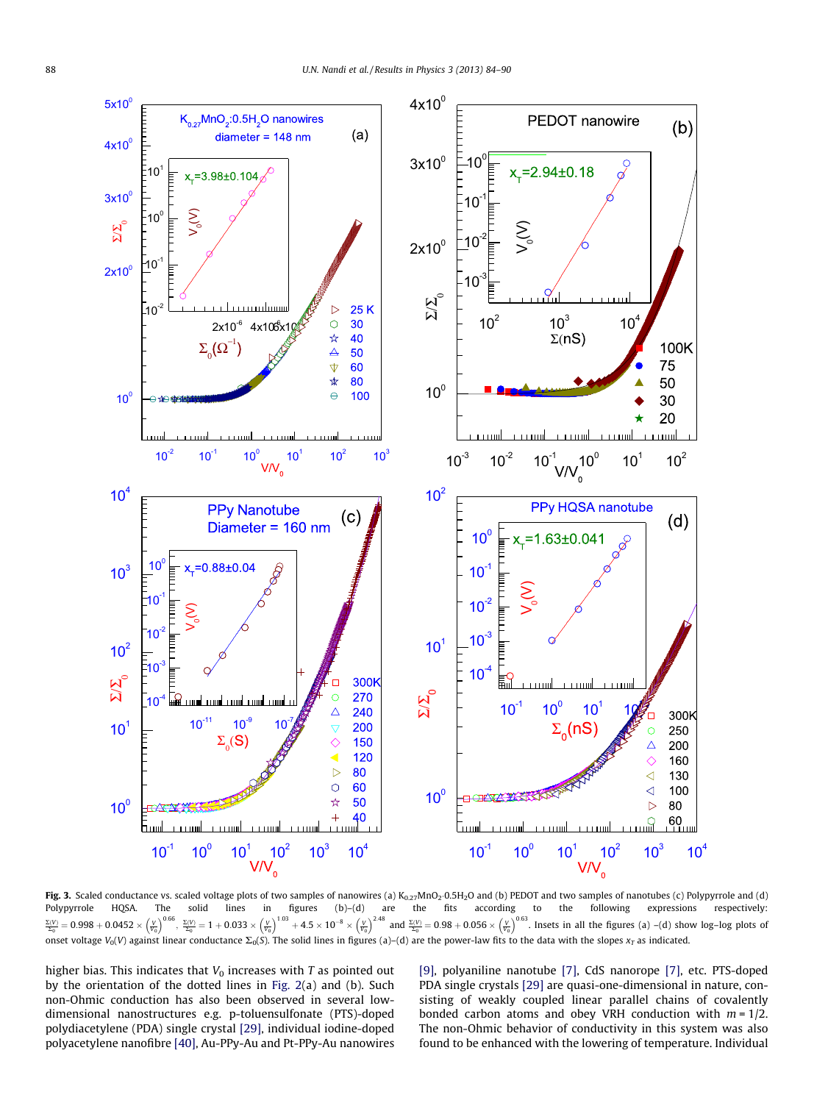<span id="page-4-0"></span>

**Fig. 3.** Scaled conductance vs. scaled voltage plots of two samples of nanowires (a) K<sub>0.27</sub>MnO2·0.5H2O and (b) PEDOT and two samples of nanotubes (c) Polypyrrole and (d) Polypyrrole HQSA. The solid lines in figures (b)–(d) are the fits according to the following expressions respectively:  $\frac{\Sigma(V)}{\Sigma_0} = 0.998 + 0.0452 \times \left(\frac{V}{V_0}\right)^{0.66}$ ,  $\frac{\Sigma(V)}{\Sigma_0} = 1 + 0.033 \times \left(\frac{V}{V_0}\right)^{1.03} + 4.5 \times 10^{-8} \times \left(\frac{V}{V_0}\right)^{2.48}$  and  $\frac{\Sigma(V)}{\Sigma_0} = 0.98 + 0.056 \times \left(\frac{V}{V_0}\right)^{0.63}$ . Insets in all the figures (a) –(d) sho onset voltage V<sub>0</sub>(V) against linear conductance  $\Sigma_0(S)$ . The solid lines in figures (a)–(d) are the power-law fits to the data with the slopes  $x_T$  as indicated.

higher bias. This indicates that  $V_0$  increases with  $T$  as pointed out by the orientation of the dotted lines in [Fig. 2](#page-3-0)(a) and (b). Such non-Ohmic conduction has also been observed in several lowdimensional nanostructures e.g. p-toluensulfonate (PTS)-doped polydiacetylene (PDA) single crystal [\[29\]](#page-6-0), individual iodine-doped polyacetylene nanofibre [\[40\],](#page-6-0) Au-PPy-Au and Pt-PPy-Au nanowires

[\[9\]](#page-6-0), polyaniline nanotube [\[7\]](#page-6-0), CdS nanorope [\[7\]](#page-6-0), etc. PTS-doped PDA single crystals [\[29\]](#page-6-0) are quasi-one-dimensional in nature, consisting of weakly coupled linear parallel chains of covalently bonded carbon atoms and obey VRH conduction with  $m = 1/2$ . The non-Ohmic behavior of conductivity in this system was also found to be enhanced with the lowering of temperature. Individual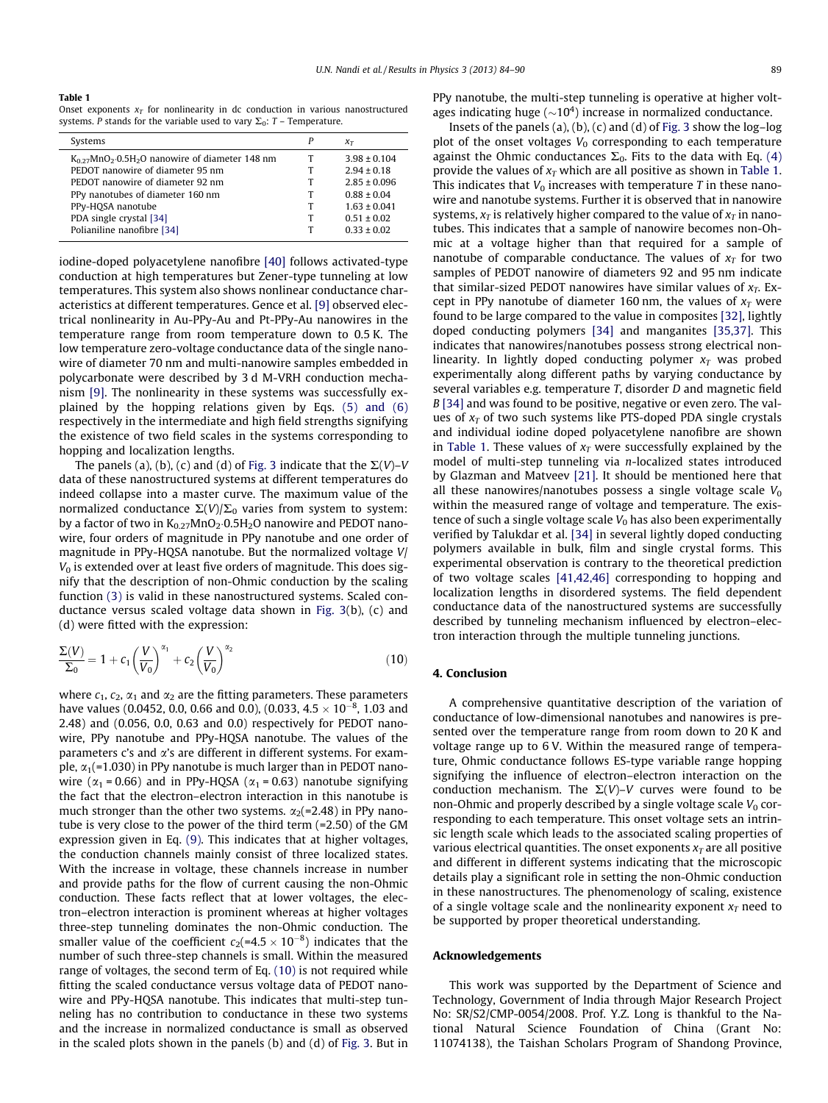<span id="page-5-0"></span>Table 1

Onset exponents  $x_T$  for nonlinearity in dc conduction in various nanostructured systems. P stands for the variable used to vary  $\Sigma_0$ : T – Temperature.

| Systems                                                                      | P | $\chi_T$         |
|------------------------------------------------------------------------------|---|------------------|
| $K_{0.27}$ MnO <sub>2</sub> .0.5H <sub>2</sub> O nanowire of diameter 148 nm |   | $3.98 \pm 0.104$ |
| PEDOT nanowire of diameter 95 nm                                             | т | $2.94 \pm 0.18$  |
| PEDOT nanowire of diameter 92 nm                                             | т | $2.85 \pm 0.096$ |
| PPy nanotubes of diameter 160 nm                                             | т | $0.88 \pm 0.04$  |
| PPy-HOSA nanotube                                                            | т | $1.63 \pm 0.041$ |
| PDA single crystal [34]                                                      | т | $0.51 \pm 0.02$  |
| Polianiline nanofibre [34]                                                   | т | $0.33 \pm 0.02$  |
|                                                                              |   |                  |

iodine-doped polyacetylene nanofibre [\[40\]](#page-6-0) follows activated-type conduction at high temperatures but Zener-type tunneling at low temperatures. This system also shows nonlinear conductance characteristics at different temperatures. Gence et al. [\[9\]](#page-6-0) observed electrical nonlinearity in Au-PPy-Au and Pt-PPy-Au nanowires in the temperature range from room temperature down to 0.5 K. The low temperature zero-voltage conductance data of the single nanowire of diameter 70 nm and multi-nanowire samples embedded in polycarbonate were described by 3 d M-VRH conduction mechanism [\[9\]](#page-6-0). The nonlinearity in these systems was successfully explained by the hopping relations given by Eqs. [\(5\) and \(6\)](#page-1-0) respectively in the intermediate and high field strengths signifying the existence of two field scales in the systems corresponding to hopping and localization lengths.

The panels (a), (b), (c) and (d) of [Fig. 3](#page-4-0) indicate that the  $\Sigma(V)$ –V data of these nanostructured systems at different temperatures do indeed collapse into a master curve. The maximum value of the normalized conductance  $\Sigma(V)/\Sigma_0$  varies from system to system: by a factor of two in  $\rm{K_{0.27}MnO_2\cdot}$  0.5H $_2$ O nanowire and PEDOT nanowire, four orders of magnitude in PPy nanotube and one order of magnitude in PPy-HQSA nanotube. But the normalized voltage V/  $V_0$  is extended over at least five orders of magnitude. This does signify that the description of non-Ohmic conduction by the scaling function [\(3\)](#page-1-0) is valid in these nanostructured systems. Scaled conductance versus scaled voltage data shown in [Fig. 3](#page-4-0)(b), (c) and (d) were fitted with the expression:

$$
\frac{\Sigma(V)}{\Sigma_0} = 1 + c_1 \left(\frac{V}{V_0}\right)^{\alpha_1} + c_2 \left(\frac{V}{V_0}\right)^{\alpha_2}
$$
\n(10)

where  $c_1$ ,  $c_2$ ,  $\alpha_1$  and  $\alpha_2$  are the fitting parameters. These parameters have values (0.0452, 0.0, 0.66 and 0.0), (0.033, 4.5  $\times$  10<sup>-8</sup>, 1.03 and 2.48) and (0.056, 0.0, 0.63 and 0.0) respectively for PEDOT nanowire, PPy nanotube and PPy-HQSA nanotube. The values of the parameters  $c$ 's and  $\alpha$ 's are different in different systems. For example,  $\alpha_1$ (=1.030) in PPy nanotube is much larger than in PEDOT nanowire ( $\alpha_1$  = 0.66) and in PPy-HQSA ( $\alpha_1$  = 0.63) nanotube signifying the fact that the electron–electron interaction in this nanotube is much stronger than the other two systems.  $\alpha_2$ (=2.48) in PPy nanotube is very close to the power of the third term (=2.50) of the GM expression given in Eq. [\(9\).](#page-1-0) This indicates that at higher voltages, the conduction channels mainly consist of three localized states. With the increase in voltage, these channels increase in number and provide paths for the flow of current causing the non-Ohmic conduction. These facts reflect that at lower voltages, the electron–electron interaction is prominent whereas at higher voltages three-step tunneling dominates the non-Ohmic conduction. The smaller value of the coefficient  $c_2(=4.5\times 10^{-8})$  indicates that the number of such three-step channels is small. Within the measured range of voltages, the second term of Eq. (10) is not required while fitting the scaled conductance versus voltage data of PEDOT nanowire and PPy-HQSA nanotube. This indicates that multi-step tunneling has no contribution to conductance in these two systems and the increase in normalized conductance is small as observed in the scaled plots shown in the panels (b) and (d) of [Fig. 3](#page-4-0). But in PPy nanotube, the multi-step tunneling is operative at higher voltages indicating huge ( $\sim$ 10<sup>4</sup>) increase in normalized conductance.

Insets of the panels  $(a)$ ,  $(b)$ ,  $(c)$  and  $(d)$  of [Fig. 3](#page-4-0) show the log-log plot of the onset voltages  $V_0$  corresponding to each temperature against the Ohmic conductances  $\Sigma_0$ . Fits to the data with Eq. [\(4\)](#page-1-0) provide the values of  $x_T$  which are all positive as shown in Table 1. This indicates that  $V_0$  increases with temperature T in these nanowire and nanotube systems. Further it is observed that in nanowire systems,  $x_T$  is relatively higher compared to the value of  $x_T$  in nanotubes. This indicates that a sample of nanowire becomes non-Ohmic at a voltage higher than that required for a sample of nanotube of comparable conductance. The values of  $x_T$  for two samples of PEDOT nanowire of diameters 92 and 95 nm indicate that similar-sized PEDOT nanowires have similar values of  $x_T$ . Except in PPy nanotube of diameter 160 nm, the values of  $x_T$  were found to be large compared to the value in composites [\[32\]](#page-6-0), lightly doped conducting polymers [\[34\]](#page-6-0) and manganites [\[35,37\]](#page-6-0). This indicates that nanowires/nanotubes possess strong electrical nonlinearity. In lightly doped conducting polymer  $x_T$  was probed experimentally along different paths by varying conductance by several variables e.g. temperature T, disorder D and magnetic field B [\[34\]](#page-6-0) and was found to be positive, negative or even zero. The values of  $x_T$  of two such systems like PTS-doped PDA single crystals and individual iodine doped polyacetylene nanofibre are shown in Table 1. These values of  $x_T$  were successfully explained by the model of multi-step tunneling via n-localized states introduced by Glazman and Matveev [\[21\].](#page-6-0) It should be mentioned here that all these nanowires/nanotubes possess a single voltage scale  $V_0$ within the measured range of voltage and temperature. The existence of such a single voltage scale  $V_0$  has also been experimentally verified by Talukdar et al. [\[34\]](#page-6-0) in several lightly doped conducting polymers available in bulk, film and single crystal forms. This experimental observation is contrary to the theoretical prediction of two voltage scales [\[41,42,46\]](#page-6-0) corresponding to hopping and localization lengths in disordered systems. The field dependent conductance data of the nanostructured systems are successfully described by tunneling mechanism influenced by electron–electron interaction through the multiple tunneling junctions.

#### 4. Conclusion

A comprehensive quantitative description of the variation of conductance of low-dimensional nanotubes and nanowires is presented over the temperature range from room down to 20 K and voltage range up to 6 V. Within the measured range of temperature, Ohmic conductance follows ES-type variable range hopping signifying the influence of electron–electron interaction on the conduction mechanism. The  $\Sigma(V)$ –V curves were found to be non-Ohmic and properly described by a single voltage scale  $V_0$  corresponding to each temperature. This onset voltage sets an intrinsic length scale which leads to the associated scaling properties of various electrical quantities. The onset exponents  $x<sub>T</sub>$  are all positive and different in different systems indicating that the microscopic details play a significant role in setting the non-Ohmic conduction in these nanostructures. The phenomenology of scaling, existence of a single voltage scale and the nonlinearity exponent  $x_T$  need to be supported by proper theoretical understanding.

#### Acknowledgements

This work was supported by the Department of Science and Technology, Government of India through Major Research Project No: SR/S2/CMP-0054/2008. Prof. Y.Z. Long is thankful to the National Natural Science Foundation of China (Grant No: 11074138), the Taishan Scholars Program of Shandong Province,